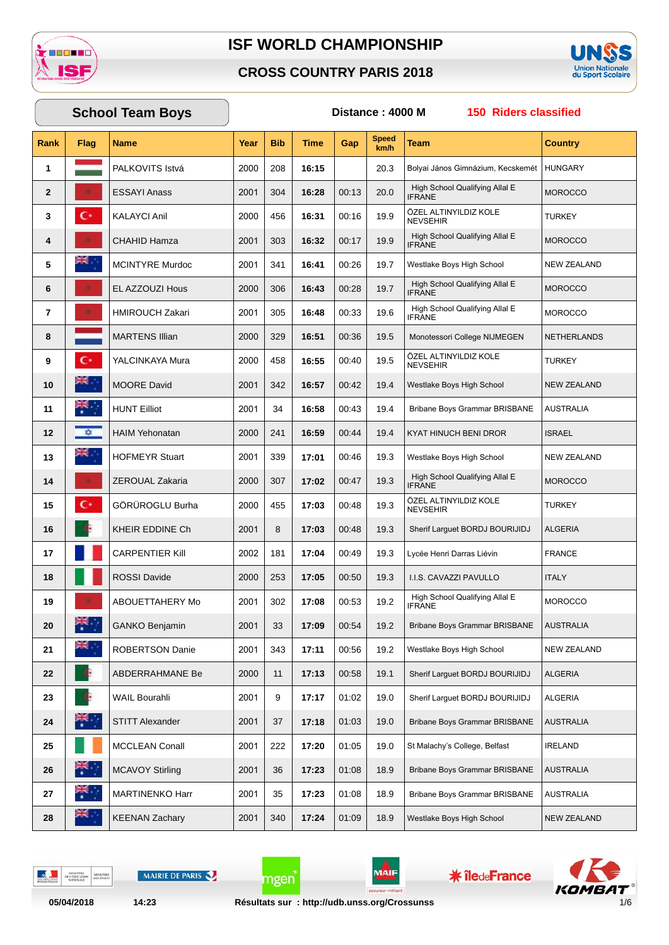

#### **CROSS COUNTRY PARIS 2018**



#### **Rank Flag Name Year Bib Time Gap Speed km/h Team Country School Team Boys Distance : 4000 M 150 Riders classified 1 PALKOVITS Istvá** 2000 208 **16:15** 20.3 Bolyai János Gimnázium, Kecskemét HUNGARY **2 ESSAYI Anass** 304 **16:28** 00:13 20.0  $2001 \Big| 304 \Big| 16:28 \Big| 00:13 \Big| 20.0 \Big|$  High School Qualifying Allal E MOROCCO **3** KALAYCI Anil 456 **16:31** 00:16 19.9 ÖZEL ALTINYILDIZ KOLE<br>NEVSEHIR 2000 456 16:31 00:16 19.9 NEVSEHIR NOLL TURKEY **4 CHAHID Hamza**  $\begin{bmatrix} 2001 & 303 & 16:32 & 00:17 \end{bmatrix}$  19.9 High School Qualifying Allal E  $2001$  303  $\mid$  16:32  $\mid$  00:17  $\mid$  19.9  $\mid$  IFRANE **5** MCINTYRE Murdoc 2001 341 **16:41** 00:26 19.7 Westlake Boys High School NEW ZEALAND **6** EL AZZOUZI Hous 2000 306 16:43 00:28 19.7 High School Qualifying Allal E  $2000$  306  $\big|$  16:43  $\big|$  00:28  $\big|$  19.7  $\big|$  if RANE **7** HMIROUCH Zakari 305 **16:48** 00:33 19.6 High School Qualifying Allal E  $2001$  305 | 16:48 | 00:33 | 19.6 | IFRANE **8** MARTENS Illian 2000 329 16:51 00:36 19.5 Monotessori College NIJMEGEN NETHERLANDS **9 C** YALCINKAYA Mura 2000 | 458 | 16:55 | 00:40 | 19.5 ÖZEL ALTINYILDIZ KOLE<br>NEVSEHIR 2000 458 16:55 00:40 19.5 NEVSEHIR NOLL NOLL TURKEY **10 10** MOORE David 2001 342 **16:57** 00:42 19.4 Westlake Boys High School NEW ZEALAND **11** HUNT Eilliot 2001 34 **16:58** 00:43 19.4 Bribane Boys Grammar BRISBANE AUSTRALIA 12 **12** HAIM Yehonatan 2000 241 | **16:59** 00:44 | 19.4 KYAT HINUCH BENI DROR ISRAEL **13** HOFMEYR Stuart 2001 339 **17:01** 00:46 19.3 Westlake Boys High School NEW ZEALAND **14 2EROUAL Zakaria** 300 1 2000 1 307 **17:02** 100:47 19.3 High School Qualifying Allal E  $2000$  307 | 17:02 | 00:47 | 19.3 | IFRANE  $\frac{1000 \text{ rad in } \text{cm}}{1000 \text{ rad in } \text{cm}}$  MOROCCO **15** GÖRÜROGLU Burha 455 **17:03** 00:48 19.3 ÖZEL ALTINYILDIZ KOLE<br>NEVSEHIR 2000 455 17:03 00:48 19.3 NEVSEHIR NOLL NOLL TURKEY **16** KHEIR EDDINE Ch 2001 8 **17:03** 00:48 19.3 Sherif Larguet BORDJ BOURIJIDJ ALGERIA **17** CARPENTIER Kill 2002 181 17:04 00:49 19.3 Lycée Henri Darras Liévin FRANCE **18 ROSSI Davide** 2000 253 **17:05** 00:50 19.3 **I.I.S. CAVAZZI PAVULLO** ITALY 19 **ABOUETTAHERY Mo** 2001 302 17:08 00:53 19.2 High School Qualifying Allal E  $2001$  302 17:08 00:53 19.2 FRANE **20** GANKO Benjamin 2001 33 17:09 00:54 19.2 Bribane Boys Grammar BRISBANE AUSTRALIA **21** ROBERTSON Danie 2001 343 17:11 00:56 19.2 Westlake Boys High School NEW ZEALAND **22** ABDERRAHMANE Be 2000 11 17:13 00:58 19.1 Sherif Larguet BORDJ BOURIJIDJ ALGERIA **23** WAIL Bourahli 2001 9 **17:17** 01:02 19.0 Sherif Larguet BORDJ BOURIJIDJ ALGERIA **24** STITT Alexander 2001 37 **17:18** 01:03 19.0 Bribane Boys Grammar BRISBANE AUSTRALIA **25** MCCLEAN Conall 2001 222 17:20 01:05 19.0 St Malachy's College, Belfast IRELAND **26** MCAVOY Stirling 2001 36 17:23 01:08 18.9 Bribane Boys Grammar BRISBANE AUSTRALIA **27** MARTINENKO Harr 2001 35 **17:23** 01:08 18.9 Bribane Boys Grammar BRISBANE AUSTRALIA **28** KEENAN Zachary 2001 340 17:24 01:09 18.9 Westlake Boys High School NEW ZEALAND

DELTO

MAIRIE DE PARIS

**MAIF** 

**\* îledeFrance** 

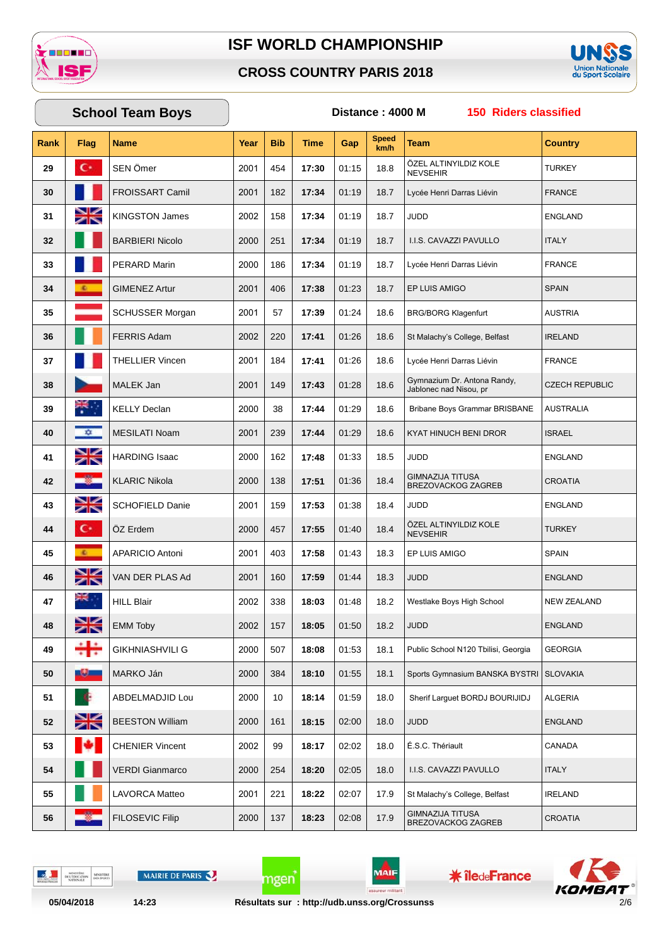

#### **CROSS COUNTRY PARIS 2018**



#### **Rank Flag Name Year Bib Time Gap Speed km/h Team Country School Team Boys Distance : 4000 M 150 Riders classified 29** SEN Ömer 2001 | 454 | **17:30** | 01:15 | 18.8 ÖZEL ALTINYILDIZ KOLE<br>NEVSEHIR 2001 | 454 | **17:30** | 01:15 | 18.8 | NEVSEHIR NOLE | TURKEY **30 FROISSART Camil 2001 182 17:34 01:19** 18.7 Lycée Henri Darras Liévin FRANCE **31** KINGSTON James 2002 158 17:34 01:19 18.7 JUDD ENGLAND **32** BARBIERI Nicolo 2000 251 17:34 01:19 18.7 I.I.S. CAVAZZI PAVULLO ITALY **33** PERARD Marin 2000 186 17:34 01:19 18.7 Lycée Henri Darras Liévin FRANCE **34** GIMENEZ Artur 2001 | 406 | **17:38** | 01:23 | 18.7 EP LUIS AMIGO | SPAIN **35** SCHUSSER Morgan 2001 57 | 17:39 | 01:24 | 18.6 | BRG/BORG Klagenfurt | AUSTRIA **36** FERRIS Adam 2002 220 17:41 01:26 18.6 St Malachy's College, Belfast IRELAND **37** THELLIER Vincen 2001 | 184 | **17:41** | 01:26 | 18.6 Lycée Henri Darras Liévin | FRANCE **38** MALEK Jan 12001 149 17:43 01:28 18.6 Gymnazium Dr. Antona Randy, Gymnazium Dr. Antona Randy,<br>Jablonec nad Nisou, pr **39** KELLY Declan 2000 38 | **17:44** | 01:29 | 18.6 | Bribane Boys Grammar BRISBANE | AUSTRALIA **40** MESILATI Noam 2001 239 17:44 01:29 18.6 KYAT HINUCH BENI DROR ISRAEL **41** HARDING Isaac 2000 162 17:48 01:33 18.5 JUDD ENGLAND **42** | **KLARIC Nikola** | **2000** | 138 | **17:51** | 01:36 | 18.4 GIMNAZIJA TITUSA GIMNAZIJA ITTUSA<br>BREZOVACKOG ZAGREB CROATIA **43** SCHOFIELD Danie 2001 | 159 | 17:53 | 01:38 | 18.4 | JUDD | ENGLAND **44 C 1** ÖZ Erdem 2000 | 457 | 17:55 | 01:40 | 18.4 ÖZEL ALTINYILDIZ KOLE<br>NEVSEHIR  $2000$  457 | 17:55 | 01:40 | 18.4 | NEVSEHIR **45** APARICIO Antoni 2001 | 403 | **17:58** | 01:43 | 18.3 | EP LUIS AMIGO | SPAIN **46** VAN DER PLAS Ad 2001 | 160 | 17:59 | 01:44 | 18.3 | JUDD | ENGLAND **47** HILL Blair 2002 338 **18:03** 01:48 18.2 Westlake Boys High School NEW ZEALAND **48** EMM Toby 2002 157 | **18:05** | 01:50 | 18.2 | JUDD ENGLAND **49** GIKHNIASHVILI G 2000 507 | **18:08** | 01:53 | 18.1 Public School N120 Tbilisi, Georgia | GEORGIA **50** MARKO Ján 2000 384 **18:10** 01:55 18.1 Sports Gymnasium BANSKA BYSTRI SLOVAKIA **51** ABDELMADJID Lou 2000 10 **18:14** 01:59 18.0 Sherif Larguet BORDJ BOURIJIDJ ALGERIA **52** BEESTON William 2000 161 18:15 02:00 18.0 JUDD ENGLAND **53** CHENIER Vincent 2002 99 **18:17** 02:02 18.0 E.S.C. Thériault CANADA **54** VERDI Gianmarco 2000 254 **18:20** 02:05 18.0 I.I.S. CAVAZZI PAVULLO ITALY **55** LAVORCA Matteo 2001 221 **18:22** 02:07 17.9 St Malachyís College, Belfast IRELAND **56 FILOSEVIC Filip** 137 | **18:23** | 02:08 | 17.9 GIMNAZIJA TITUSA GIMNAZIJA ITIUSA<br>BREZOVACKOG ZAGREB CROATIA

MINIS<br>FRE L'ÉDI

MAIRIE DE PARIS

MAIF

**\* îledeFrance** 

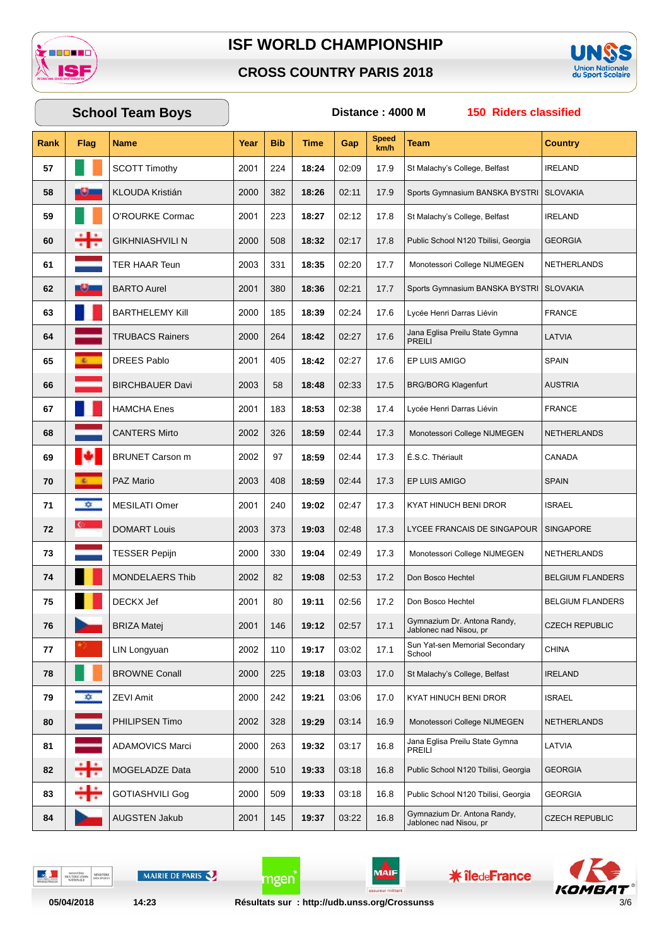

#### **CROSS COUNTRY PARIS 2018**



## **Rank Flag Name Year Bib Time Gap Speed km/h Team Country School Team Boys Distance : 4000 M 150 Riders classified 57** SCOTT Timothy 2001 224 | **18:24** | 02:09 | 17.9 | St Malachy's College, Belfast | IRELAND **58** KLOUDA Kristián 2000 382 **18:26** 02:11 17.9 Sports Gymnasium BANSKA BYSTRI SLOVAKIA **59** O'ROURKE Cormac 2001 223 | **18:27** | 02:12 | 17.8 | St Malachy's College, Belfast | IRELAND **60** GIKHNIASHVILI N 2000 508 **18:32** 02:17 17.8 Public School N120 Tbilisi, Georgia GEORGIA **61** TER HAAR Teun 2003 331 **18:35** 02:20 17.7 Monotessori College NIJMEGEN NETHERLANDS **62** BARTO Aurel 2001 380 **18:36** 02:21 17.7 Sports Gymnasium BANSKA BYSTRI SLOVAKIA **63** BARTHELEMY Kill 2000 185 18:39 02:24 17.6 Lycée Henri Darras Liévin FRANCE **64** TRUBACS Rainers 264 **18:42** 02:27 17.6 Jana Eglisa Preilu State Gymna<br>PREILL 2000 | 264 | **18:42** | 02:27 | 17.6 | PREILI | PREILI **65** DREES Pablo 2001 405 **18:42** 02:27 17.6 EP LUIS AMIGO SPAIN **66** BIRCHBAUER Davi 2003 58 18:48 02:33 17.5 BRG/BORG Klagenfurt AUSTRIA **67 Hamcha Enes** 2001 | 183 | **18:53** | 02:38 | 17.4 Lycée Henri Darras Liévin FRANCE **68** CANTERS Mirto 2002 326 18:59 02:44 17.3 Monotessori College NIJMEGEN NETHERLANDS **69 BRUNET Carson m** 2002 97 **18:59** 02:44 17.3 **E.S.C. Thériault** CANADA **70** PAZ Mario 2003 408 **18:59** 02:44 17.3 EP LUIS AMIGO SPAIN **71** MESILATI Omer 2001 240 **19:02** 02:47 17.3 KYAT HINUCH BENI DROR ISRAEL **72** DOMART Louis 2003 373 **19:03** 02:48 17.3 LYCEE FRANCAIS DE SINGAPOUR SINGAPORE **73** TESSER Pepijn 2000 330 19:04 02:49 17.3 Monotessori College NIJMEGEN NETHERLANDS **74** MONDELAERS Thib 2002 82 **19:08** 02:53 17.2 Don Bosco Hechtel BELGIUM FLANDERS **75** DECKX Jef 2001 80 19:11 02:56 17.2 Don Bosco Hechtel BELGIUM FLANDERS **76** BRIZA Matej 146 **19:12** 02:57 17.1 Gymnazium Dr. Antona Randy, Gymnazium Dr. Antona Randy,<br>Jablonec nad Nisou, pr 2001 2002 CZECH REPUBLIC **77** LIN Longyuan 110 **19:17** 03:02 17.1  $2002 \begin{array}{|c|c|c|c|c|}\n\hline\n110 & 19:17 & 03:02 & 17.1 & \text{School} \\
\hline\n\end{array}$ **78** BROWNE Conall 2000 225 19:18 03:03 17.0 St Malachy's College, Belfast IRELAND **79 22 ZEVI Amit** 2000 242 **19:21** 03:06 17.0 KYAT HINUCH BENI DROR ISRAEL **80** PHILIPSEN Timo 2002 328 **19:29** 03:14 16.9 Monotessori College NIJMEGEN NETHERLANDS **81** ADAMOVICS Marci 263 **19:32** 03:17 16.8 2000 | 263 | 19:32 | 03:17 | 16.8 | Jana Eglisa Preilu State Gymna | LATVIA **82** MOGELADZE Data 2000 510 **19:33** 03:18 16.8 Public School N120 Tbilisi, Georgia GEORGIA **83** GOTIASHVILI Gog 2000 509 19:33 03:18 16.8 Public School N120 Tbilisi, Georgia GEORGIA **84** AUGSTEN Jakub 2001 | 145 | 19:37 | 03:22 | 16.8 Gymnazium Dr. Antona Randy, Gymnazium Dr. Antona Randy,<br>Jablonec nad Nisou, pr 2001 2002 CZECH REPUBLIC

DELTO

MAIRIE DE PARIS

MAII

**\* îledeFrance** 

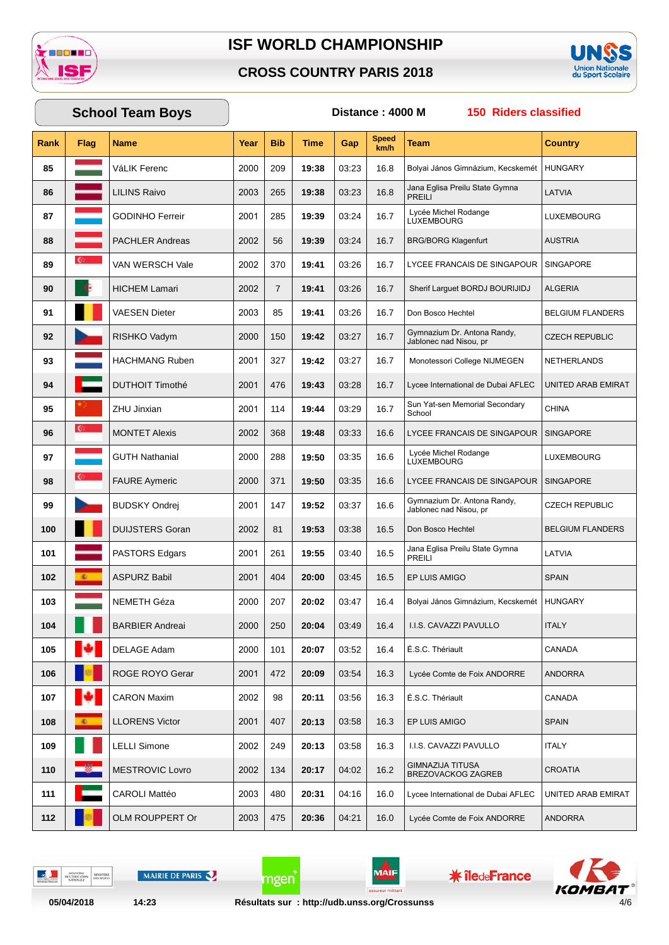

#### **CROSS COUNTRY PARIS 2018**



# **School Team Boys Distance : 4000 M 150 Riders classified**

| Rank | <b>Flag</b>  | <b>Name</b>            | Year | <b>Bib</b>     | Time  | Gap   | <b>Speed</b><br>km/h | Team                                                  | Country                 |
|------|--------------|------------------------|------|----------------|-------|-------|----------------------|-------------------------------------------------------|-------------------------|
| 85   |              | VáLIK Ferenc           | 2000 | 209            | 19:38 | 03:23 | 16.8                 | Bolyai János Gimnázium, Kecskemét                     | <b>HUNGARY</b>          |
| 86   |              | <b>LILINS Raivo</b>    | 2003 | 265            | 19:38 | 03:23 | 16.8                 | Jana Eglisa Preilu State Gymna<br><b>PREILI</b>       | LATVIA                  |
| 87   |              | <b>GODINHO Ferreir</b> | 2001 | 285            | 19:39 | 03:24 | 16.7                 | Lycée Michel Rodange<br>LUXEMBOURG                    | LUXEMBOURG              |
| 88   |              | <b>PACHLER Andreas</b> | 2002 | 56             | 19:39 | 03:24 | 16.7                 | <b>BRG/BORG Klagenfurt</b>                            | <b>AUSTRIA</b>          |
| 89   | $\mathbf{C}$ | VAN WERSCH Vale        | 2002 | 370            | 19:41 | 03:26 | 16.7                 | LYCEE FRANCAIS DE SINGAPOUR                           | SINGAPORE               |
| 90   | Æ            | <b>HICHEM Lamari</b>   | 2002 | $\overline{7}$ | 19:41 | 03:26 | 16.7                 | Sherif Larguet BORDJ BOURIJIDJ                        | <b>ALGERIA</b>          |
| 91   |              | VAESEN Dieter          | 2003 | 85             | 19:41 | 03:26 | 16.7                 | Don Bosco Hechtel                                     | <b>BELGIUM FLANDERS</b> |
| 92   |              | RISHKO Vadym           | 2000 | 150            | 19:42 | 03:27 | 16.7                 | Gymnazium Dr. Antona Randy,<br>Jablonec nad Nisou, pr | <b>CZECH REPUBLIC</b>   |
| 93   |              | <b>HACHMANG Ruben</b>  | 2001 | 327            | 19:42 | 03:27 | 16.7                 | Monotessori College NIJMEGEN                          | <b>NETHERLANDS</b>      |
| 94   |              | <b>DUTHOIT Timothé</b> | 2001 | 476            | 19:43 | 03:28 | 16.7                 | Lycee International de Dubai AFLEC                    | UNITED ARAB EMIRAT      |
| 95   |              | ZHU Jinxian            | 2001 | 114            | 19:44 | 03:29 | 16.7                 | Sun Yat-sen Memorial Secondary<br>School              | <b>CHINA</b>            |
| 96   | G.           | <b>MONTET Alexis</b>   | 2002 | 368            | 19:48 | 03:33 | 16.6                 | LYCEE FRANCAIS DE SINGAPOUR                           | <b>SINGAPORE</b>        |
| 97   |              | <b>GUTH Nathanial</b>  | 2000 | 288            | 19:50 | 03:35 | 16.6                 | Lycée Michel Rodange<br>LUXEMBOURG                    | LUXEMBOURG              |
| 98   | <b>C</b>     | <b>FAURE Aymeric</b>   | 2000 | 371            | 19:50 | 03:35 | 16.6                 | LYCEE FRANCAIS DE SINGAPOUR                           | <b>SINGAPORE</b>        |
| 99   |              | <b>BUDSKY Ondrej</b>   | 2001 | 147            | 19:52 | 03:37 | 16.6                 | Gymnazium Dr. Antona Randy,<br>Jablonec nad Nisou, pr | <b>CZECH REPUBLIC</b>   |
| 100  |              | <b>DUIJSTERS Goran</b> | 2002 | 81             | 19:53 | 03:38 | 16.5                 | Don Bosco Hechtel                                     | <b>BELGIUM FLANDERS</b> |
| 101  |              | <b>PASTORS Edgars</b>  | 2001 | 261            | 19:55 | 03:40 | 16.5                 | Jana Eglisa Preilu State Gymna<br><b>PREILI</b>       | LATVIA                  |
| 102  | <b>C.</b>    | <b>ASPURZ Babil</b>    | 2001 | 404            | 20:00 | 03:45 | 16.5                 | EP LUIS AMIGO                                         | <b>SPAIN</b>            |
| 103  |              | NEMETH Géza            | 2000 | 207            | 20:02 | 03:47 | 16.4                 | Bolyai János Gimnázium, Kecskemét                     | <b>HUNGARY</b>          |
| 104  |              | <b>BARBIER Andreai</b> | 2000 | 250            | 20:04 | 03:49 | 16.4                 | I.I.S. CAVAZZI PAVULLO                                | <b>ITALY</b>            |
| 105  |              | DELAGE Adam            | 2000 | 101            | 20:07 | 03:52 | 16.4                 | É.S.C. Thériault                                      | CANADA                  |
| 106  |              | ROGE ROYO Gerar        | 2001 | 472            | 20:09 | 03:54 | 16.3                 | Lycée Comte de Foix ANDORRE                           | <b>ANDORRA</b>          |
| 107  |              | <b>CARON Maxim</b>     | 2002 | 98             | 20:11 | 03:56 | 16.3                 | É.S.C. Thériault                                      | CANADA                  |
| 108  | ×.           | <b>LLORENS Victor</b>  | 2001 | 407            | 20:13 | 03:58 | 16.3                 | EP LUIS AMIGO                                         | <b>SPAIN</b>            |
| 109  |              | <b>LELLI Simone</b>    | 2002 | 249            | 20:13 | 03:58 | 16.3                 | I.I.S. CAVAZZI PAVULLO                                | <b>ITALY</b>            |
| 110  |              | <b>MESTROVIC Lovro</b> | 2002 | 134            | 20:17 | 04:02 | 16.2                 | GIMNAZIJA TITUSA<br><b>BREZOVACKOG ZAGREB</b>         | <b>CROATIA</b>          |
| 111  |              | <b>CAROLI Mattéo</b>   | 2003 | 480            | 20:31 | 04:16 | 16.0                 | Lycee International de Dubai AFLEC                    | UNITED ARAB EMIRAT      |
| 112  |              | OLM ROUPPERT Or        | 2003 | 475            | 20:36 | 04:21 | 16.0                 | Lycée Comte de Foix ANDORRE                           | <b>ANDORRA</b>          |

 $\frac{1}{2}$ MINISTÈRE<br>DE L'ÉDUCATION MINISTERE MAIRIE DE PARIS



**\*** îledeFrance

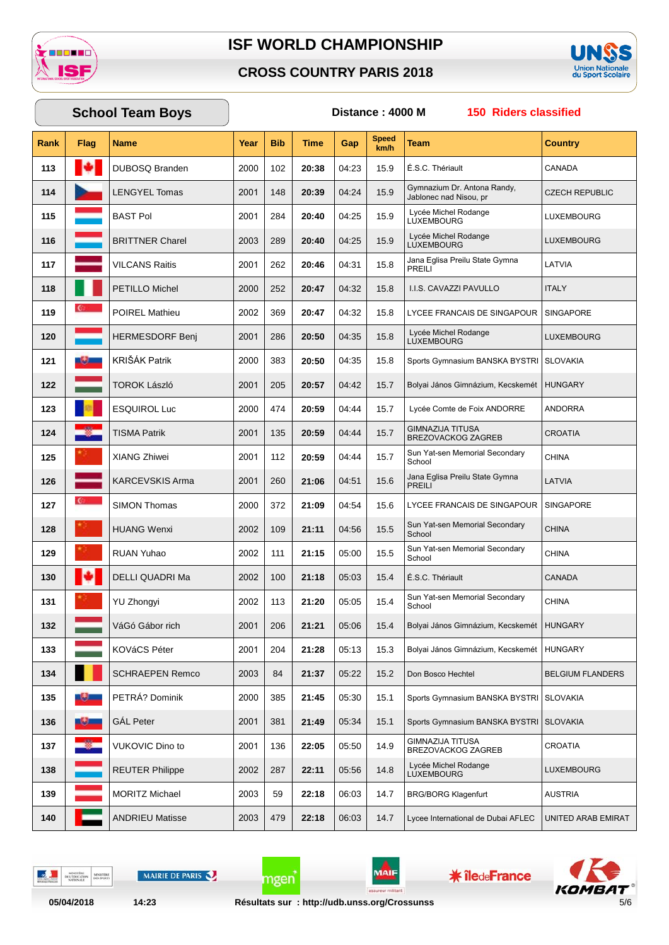

#### **CROSS COUNTRY PARIS 2018**



## **School Team Boys** Distance: 4000 M

150 Riders classified

| Rank | Flag         | <b>Name</b>            | Year | <b>Bib</b> | Time  | Gap   | Speed<br>km/h | <b>Team</b>                                           | <b>Country</b>          |
|------|--------------|------------------------|------|------------|-------|-------|---------------|-------------------------------------------------------|-------------------------|
| 113  |              | <b>DUBOSQ Branden</b>  | 2000 | 102        | 20:38 | 04:23 | 15.9          | É.S.C. Thériault                                      | CANADA                  |
| 114  |              | <b>LENGYEL Tomas</b>   | 2001 | 148        | 20:39 | 04:24 | 15.9          | Gymnazium Dr. Antona Randy,<br>Jablonec nad Nisou, pr | <b>CZECH REPUBLIC</b>   |
| 115  |              | <b>BAST Pol</b>        | 2001 | 284        | 20:40 | 04:25 | 15.9          | Lycée Michel Rodange<br>LUXEMBOURG                    | LUXEMBOURG              |
| 116  |              | <b>BRITTNER Charel</b> | 2003 | 289        | 20:40 | 04:25 | 15.9          | Lycée Michel Rodange<br><b>LUXEMBOURG</b>             | LUXEMBOURG              |
| 117  |              | <b>VILCANS Raitis</b>  | 2001 | 262        | 20:46 | 04:31 | 15.8          | Jana Eglisa Preilu State Gymna<br><b>PREILI</b>       | LATVIA                  |
| 118  |              | PETILLO Michel         | 2000 | 252        | 20:47 | 04:32 | 15.8          | I.I.S. CAVAZZI PAVULLO                                | <b>ITALY</b>            |
| 119  |              | <b>POIREL Mathieu</b>  | 2002 | 369        | 20:47 | 04:32 | 15.8          | LYCEE FRANCAIS DE SINGAPOUR                           | <b>SINGAPORE</b>        |
| 120  |              | <b>HERMESDORF Benj</b> | 2001 | 286        | 20:50 | 04:35 | 15.8          | Lycée Michel Rodange<br><b>LUXEMBOURG</b>             | LUXEMBOURG              |
| 121  |              | KRIŠÁK Patrik          | 2000 | 383        | 20:50 | 04:35 | 15.8          | Sports Gymnasium BANSKA BYSTRI   SLOVAKIA             |                         |
| 122  |              | <b>TOROK László</b>    | 2001 | 205        | 20:57 | 04:42 | 15.7          | Bolyai János Gimnázium, Kecskemét                     | <b>HUNGARY</b>          |
| 123  |              | <b>ESQUIROL Luc</b>    | 2000 | 474        | 20:59 | 04:44 | 15.7          | Lycée Comte de Foix ANDORRE                           | ANDORRA                 |
| 124  |              | <b>TISMA Patrik</b>    | 2001 | 135        | 20:59 | 04:44 | 15.7          | <b>GIMNAZIJA TITUSA</b><br><b>BREZOVACKOG ZAGREB</b>  | <b>CROATIA</b>          |
| 125  |              | <b>XIANG Zhiwei</b>    | 2001 | 112        | 20:59 | 04:44 | 15.7          | Sun Yat-sen Memorial Secondary<br>School              | <b>CHINA</b>            |
| 126  |              | <b>KARCEVSKIS Arma</b> | 2001 | 260        | 21:06 | 04:51 | 15.6          | Jana Eglisa Preilu State Gymna<br><b>PREILI</b>       | LATVIA                  |
| 127  | $\mathbf{C}$ | <b>SIMON Thomas</b>    | 2000 | 372        | 21:09 | 04:54 | 15.6          | LYCEE FRANCAIS DE SINGAPOUR                           | SINGAPORE               |
| 128  |              | <b>HUANG Wenxi</b>     | 2002 | 109        | 21:11 | 04:56 | 15.5          | Sun Yat-sen Memorial Secondary<br>School              | <b>CHINA</b>            |
| 129  |              | <b>RUAN Yuhao</b>      | 2002 | 111        | 21:15 | 05:00 | 15.5          | Sun Yat-sen Memorial Secondary<br>School              | <b>CHINA</b>            |
| 130  |              | DELLI QUADRI Ma        | 2002 | 100        | 21:18 | 05:03 | 15.4          | É.S.C. Thériault                                      | <b>CANADA</b>           |
| 131  |              | <b>YU Zhongyi</b>      | 2002 | 113        | 21:20 | 05:05 | 15.4          | Sun Yat-sen Memorial Secondary<br>School              | <b>CHINA</b>            |
| 132  |              | VáGó Gábor rich        | 2001 | 206        | 21:21 | 05:06 | 15.4          | Bolyai János Gimnázium, Kecskemét                     | <b>HUNGARY</b>          |
| 133  |              | KOVáCS Péter           | 2001 | 204        | 21:28 | 05:13 | 15.3          | Bolyai János Gimnázium, Kecskemét                     | <b>HUNGARY</b>          |
| 134  |              | <b>SCHRAEPEN Remco</b> | 2003 | 84         | 21:37 | 05:22 | 15.2          | Don Bosco Hechtel                                     | <b>BELGIUM FLANDERS</b> |
| 135  | سائله        | PETRÁ? Dominik         | 2000 | 385        | 21:45 | 05:30 | 15.1          | Sports Gymnasium BANSKA BYSTRI   SLOVAKIA             |                         |
| 136  | -9-          | <b>GÁL Peter</b>       | 2001 | 381        | 21:49 | 05:34 | 15.1          | Sports Gymnasium BANSKA BYSTRI                        | <b>SLOVAKIA</b>         |
| 137  |              | <b>VUKOVIC Dino to</b> | 2001 | 136        | 22:05 | 05:50 | 14.9          | <b>GIMNAZIJA TITUSA</b><br>BREZOVACKOG ZAGREB         | CROATIA                 |
| 138  |              | <b>REUTER Philippe</b> | 2002 | 287        | 22:11 | 05:56 | 14.8          | Lycée Michel Rodange<br><b>LUXEMBOURG</b>             | LUXEMBOURG              |
| 139  |              | <b>MORITZ Michael</b>  | 2003 | 59         | 22:18 | 06:03 | 14.7          | <b>BRG/BORG Klagenfurt</b>                            | AUSTRIA                 |
| 140  |              | <b>ANDRIEU Matisse</b> | 2003 | 479        | 22:18 | 06:03 | 14.7          | Lycee International de Dubai AFLEC                    | UNITED ARAB EMIRAT      |

 $\frac{1}{2}$ MINISTÈRE<br>DE L'ÉDUCATION MINISTERE MAIRIE DE PARIS

 $14:23$ 



**\*** îledeFrance